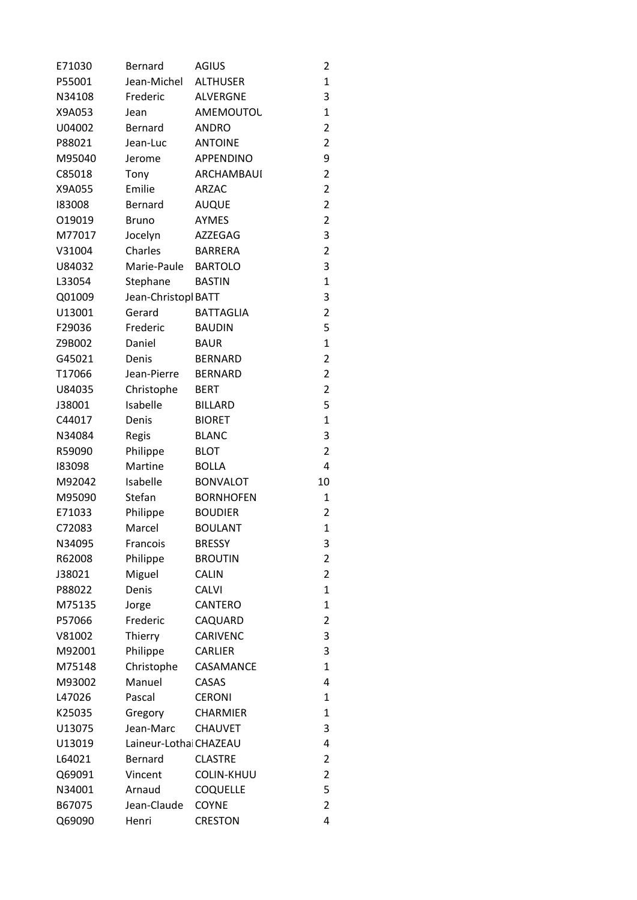| E71030 | Bernard                | <b>AGIUS</b>      | $\overline{c}$          |
|--------|------------------------|-------------------|-------------------------|
| P55001 | Jean-Michel            | <b>ALTHUSER</b>   | $\mathbf{1}$            |
| N34108 | Frederic               | <b>ALVERGNE</b>   | 3                       |
| X9A053 | Jean                   | AMEMOUTOU         | $\mathbf{1}$            |
| U04002 | Bernard                | <b>ANDRO</b>      | $\overline{a}$          |
| P88021 | Jean-Luc               | <b>ANTOINE</b>    | $\overline{a}$          |
| M95040 | Jerome                 | APPENDINO         | 9                       |
| C85018 | Tony                   | ARCHAMBAUI        | $\overline{a}$          |
| X9A055 | Emilie                 | <b>ARZAC</b>      | $\overline{a}$          |
| 183008 | Bernard                | <b>AUQUE</b>      | $\overline{a}$          |
| 019019 | <b>Bruno</b>           | <b>AYMES</b>      | $\overline{a}$          |
| M77017 | Jocelyn                | AZZEGAG           | 3                       |
| V31004 | Charles                | <b>BARRERA</b>    | $\overline{a}$          |
| U84032 | Marie-Paule BARTOLO    |                   | 3                       |
| L33054 | Stephane               | <b>BASTIN</b>     | $\mathbf{1}$            |
| Q01009 | Jean-Christopl BATT    |                   | 3                       |
| U13001 | Gerard                 | <b>BATTAGLIA</b>  | $\overline{a}$          |
| F29036 | Frederic               | <b>BAUDIN</b>     | 5                       |
| Z9B002 | Daniel                 | <b>BAUR</b>       | $\mathbf{1}$            |
| G45021 | Denis                  | <b>BERNARD</b>    | $\overline{a}$          |
| T17066 | Jean-Pierre            | <b>BERNARD</b>    | $\overline{c}$          |
| U84035 | Christophe             | <b>BERT</b>       | $\overline{\mathbf{c}}$ |
| J38001 | Isabelle               | <b>BILLARD</b>    | 5                       |
| C44017 | Denis                  | <b>BIORET</b>     | $\mathbf{1}$            |
| N34084 | Regis                  | <b>BLANC</b>      | 3                       |
| R59090 | Philippe               | <b>BLOT</b>       | $\overline{a}$          |
| 183098 | Martine                | <b>BOLLA</b>      | 4                       |
| M92042 | Isabelle               | <b>BONVALOT</b>   | 10                      |
| M95090 | Stefan                 | <b>BORNHOFEN</b>  | 1                       |
| E71033 | Philippe               | <b>BOUDIER</b>    | $\overline{c}$          |
| C72083 | Marcel                 | <b>BOULANT</b>    | $\mathbf{1}$            |
| N34095 | Francois               | <b>BRESSY</b>     | 3                       |
| R62008 | Philippe               | <b>BROUTIN</b>    | $\overline{c}$          |
| J38021 | Miguel                 | <b>CALIN</b>      | $\overline{a}$          |
| P88022 | Denis                  | <b>CALVI</b>      | $\mathbf{1}$            |
| M75135 | Jorge                  | CANTERO           | $\mathbf{1}$            |
| P57066 | Frederic               | CAQUARD           | $\overline{c}$          |
| V81002 | Thierry                | CARIVENC          | 3                       |
| M92001 | Philippe               | <b>CARLIER</b>    | 3                       |
| M75148 | Christophe             | CASAMANCE         | $\mathbf{1}$            |
| M93002 | Manuel                 | CASAS             | 4                       |
| L47026 | Pascal                 | <b>CERONI</b>     | 1                       |
| K25035 | Gregory                | <b>CHARMIER</b>   | $\mathbf{1}$            |
| U13075 | Jean-Marc              | <b>CHAUVET</b>    | 3                       |
| U13019 | Laineur-Lothai CHAZEAU |                   | 4                       |
| L64021 | Bernard                | <b>CLASTRE</b>    | $\overline{c}$          |
| Q69091 | Vincent                | <b>COLIN-KHUU</b> | $\overline{c}$          |
| N34001 | Arnaud                 | <b>COQUELLE</b>   | 5                       |
| B67075 | Jean-Claude            | <b>COYNE</b>      | $\overline{a}$          |
| Q69090 | Henri                  | <b>CRESTON</b>    | 4                       |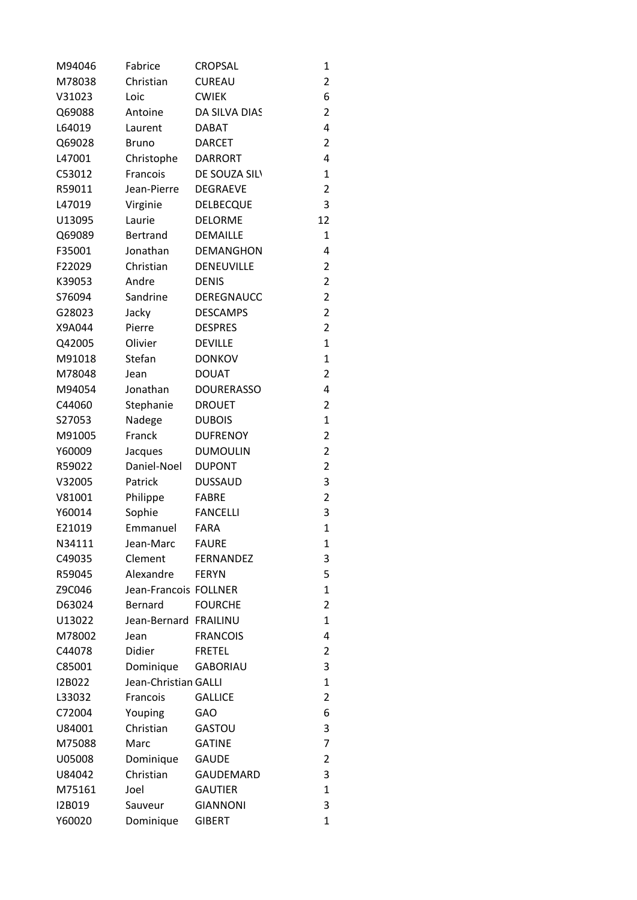| M94046 | Fabrice               | <b>CROPSAL</b>    | 1              |
|--------|-----------------------|-------------------|----------------|
| M78038 | Christian             | <b>CUREAU</b>     | $\overline{c}$ |
| V31023 | Loic                  | <b>CWIEK</b>      | 6              |
| Q69088 | Antoine               | DA SILVA DIAS     | $\overline{c}$ |
| L64019 | Laurent               | <b>DABAT</b>      | 4              |
| Q69028 | Bruno                 | <b>DARCET</b>     | $\overline{c}$ |
| L47001 | Christophe            | <b>DARRORT</b>    | 4              |
| C53012 | Francois              | DE SOUZA SILV     | $\mathbf{1}$   |
| R59011 | Jean-Pierre           | <b>DEGRAEVE</b>   | $\overline{c}$ |
| L47019 | Virginie              | <b>DELBECQUE</b>  | 3              |
| U13095 | Laurie                | <b>DELORME</b>    | 12             |
| Q69089 | <b>Bertrand</b>       | DEMAILLE          | $\mathbf{1}$   |
| F35001 | Jonathan              | <b>DEMANGHON</b>  | 4              |
| F22029 | Christian             | DENEUVILLE        | $\overline{c}$ |
| K39053 | Andre                 | <b>DENIS</b>      | $\overline{c}$ |
| S76094 | Sandrine              | DEREGNAUCC        | $\overline{c}$ |
| G28023 | Jacky                 | <b>DESCAMPS</b>   | $\overline{a}$ |
| X9A044 | Pierre                | <b>DESPRES</b>    | $\overline{a}$ |
| Q42005 | Olivier               | <b>DEVILLE</b>    | $\mathbf{1}$   |
| M91018 | Stefan                | <b>DONKOV</b>     | $\mathbf{1}$   |
| M78048 | Jean                  | <b>DOUAT</b>      | $\overline{a}$ |
| M94054 | Jonathan              | <b>DOURERASSO</b> | 4              |
| C44060 | Stephanie             | <b>DROUET</b>     | $\overline{c}$ |
| S27053 | Nadege                | <b>DUBOIS</b>     | $\mathbf{1}$   |
| M91005 | Franck                | <b>DUFRENOY</b>   | $\overline{c}$ |
| Y60009 | Jacques               | <b>DUMOULIN</b>   | $\overline{c}$ |
| R59022 | Daniel-Noel           | <b>DUPONT</b>     | $\overline{a}$ |
| V32005 | Patrick               | <b>DUSSAUD</b>    | 3              |
| V81001 | Philippe              | <b>FABRE</b>      | $\overline{a}$ |
| Y60014 | Sophie                | <b>FANCELLI</b>   | 3              |
| E21019 | Emmanuel              | <b>FARA</b>       | $\mathbf{1}$   |
| N34111 | Jean-Marc             | <b>FAURE</b>      | 1              |
| C49035 | Clement               | <b>FERNANDEZ</b>  | 3              |
| R59045 | Alexandre             | <b>FERYN</b>      | 5              |
| Z9C046 | Jean-Francois FOLLNER |                   | $\mathbf{1}$   |
| D63024 | Bernard               | <b>FOURCHE</b>    | $\overline{c}$ |
| U13022 | Jean-Bernard FRAILINU |                   | $\mathbf{1}$   |
| M78002 | Jean                  | <b>FRANCOIS</b>   | 4              |
| C44078 | Didier                | <b>FRETEL</b>     | $\overline{c}$ |
| C85001 | Dominique             | <b>GABORIAU</b>   | 3              |
| I2B022 | Jean-Christian GALLI  |                   | $\mathbf{1}$   |
| L33032 | Francois              | <b>GALLICE</b>    | $\overline{a}$ |
| C72004 | Youping               | GAO               | 6              |
| U84001 | Christian             | <b>GASTOU</b>     | 3              |
| M75088 | Marc                  | <b>GATINE</b>     | 7              |
| U05008 | Dominique             | <b>GAUDE</b>      | $\overline{c}$ |
| U84042 | Christian             | GAUDEMARD         | 3              |
| M75161 | Joel                  | <b>GAUTIER</b>    | $\mathbf{1}$   |
| I2B019 | Sauveur               | <b>GIANNONI</b>   | 3              |
| Y60020 | Dominique             | <b>GIBERT</b>     | $\mathbf{1}$   |
|        |                       |                   |                |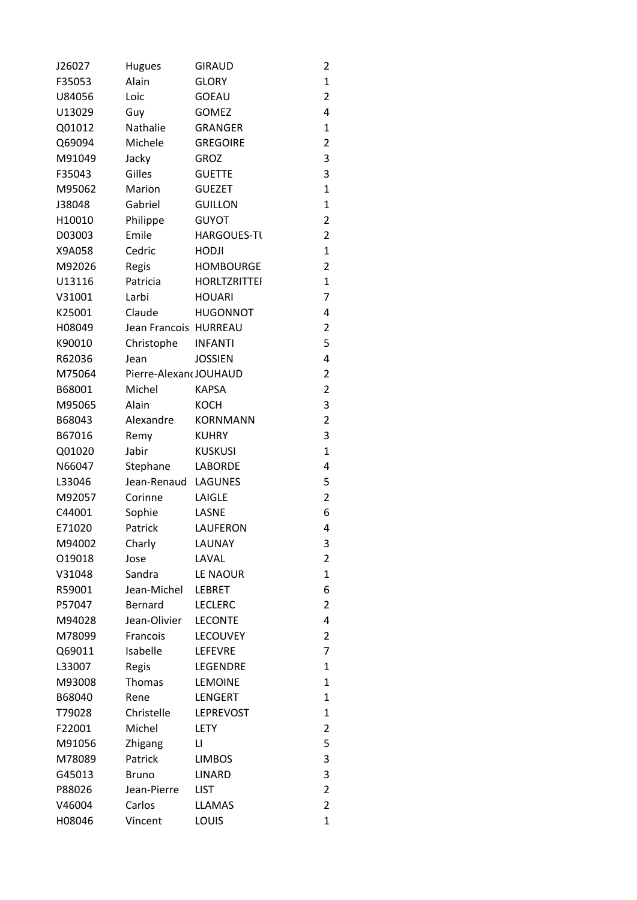| J26027 | <b>Hugues</b>         | <b>GIRAUD</b>       | $\overline{c}$ |
|--------|-----------------------|---------------------|----------------|
| F35053 | Alain                 | <b>GLORY</b>        | $\mathbf{1}$   |
| U84056 | Loic                  | <b>GOEAU</b>        | $\overline{a}$ |
| U13029 | Guy                   | <b>GOMEZ</b>        | 4              |
| Q01012 | Nathalie              | <b>GRANGER</b>      | $\mathbf{1}$   |
| Q69094 | Michele               | <b>GREGOIRE</b>     | $\overline{c}$ |
| M91049 | Jacky                 | <b>GROZ</b>         | 3              |
| F35043 | Gilles                | <b>GUETTE</b>       | 3              |
| M95062 | Marion                | <b>GUEZET</b>       | $\mathbf{1}$   |
| J38048 | Gabriel               | <b>GUILLON</b>      | $\mathbf{1}$   |
| H10010 | Philippe              | <b>GUYOT</b>        | $\overline{a}$ |
| D03003 | Emile                 | <b>HARGOUES-TL</b>  | $\overline{a}$ |
| X9A058 | Cedric                | <b>HODJI</b>        | $\mathbf{1}$   |
| M92026 | Regis                 | <b>HOMBOURGE</b>    | $\overline{a}$ |
| U13116 | Patricia              | <b>HORLTZRITTEI</b> | $\mathbf{1}$   |
| V31001 | Larbi                 | <b>HOUARI</b>       | 7              |
| K25001 | Claude                | <b>HUGONNOT</b>     | 4              |
| H08049 | Jean Francois HURREAU |                     | $\overline{a}$ |
| K90010 | Christophe            | <b>INFANTI</b>      | 5              |
| R62036 | Jean                  | <b>JOSSIEN</b>      | 4              |
| M75064 | Pierre-AlexandJOUHAUD |                     | $\overline{a}$ |
| B68001 | Michel                | <b>KAPSA</b>        | $\overline{a}$ |
| M95065 | Alain                 | <b>KOCH</b>         | 3              |
| B68043 | Alexandre             | <b>KORNMANN</b>     | $\overline{a}$ |
| B67016 | Remy                  | <b>KUHRY</b>        | 3              |
| Q01020 | Jabir                 | <b>KUSKUSI</b>      | $\mathbf{1}$   |
| N66047 | Stephane              | LABORDE             | 4              |
| L33046 | Jean-Renaud LAGUNES   |                     | 5              |
| M92057 | Corinne               | LAIGLE              | $\overline{a}$ |
| C44001 | Sophie                | LASNE               | 6              |
| E71020 | Patrick               | LAUFERON            | 4              |
| M94002 | Charly                | LAUNAY              | 3              |
| 019018 | Jose                  | LAVAL               | $\overline{c}$ |
| V31048 | Sandra                | LE NAOUR            | $\mathbf{1}$   |
| R59001 | Jean-Michel           | <b>LEBRET</b>       | 6              |
| P57047 | Bernard               | <b>LECLERC</b>      | $\overline{c}$ |
| M94028 | Jean-Olivier          | <b>LECONTE</b>      | 4              |
| M78099 | Francois              | <b>LECOUVEY</b>     | $\overline{c}$ |
| Q69011 | Isabelle              | LEFEVRE             | 7              |
| L33007 | Regis                 | <b>LEGENDRE</b>     | $\mathbf{1}$   |
| M93008 | Thomas                | <b>LEMOINE</b>      | $\mathbf{1}$   |
| B68040 | Rene                  | LENGERT             | $\mathbf{1}$   |
| T79028 | Christelle            | <b>LEPREVOST</b>    | $\mathbf{1}$   |
| F22001 | Michel                | <b>LETY</b>         | $\overline{c}$ |
| M91056 | Zhigang               | П                   | 5              |
| M78089 | Patrick               | <b>LIMBOS</b>       | 3              |
| G45013 | <b>Bruno</b>          | <b>LINARD</b>       | 3              |
| P88026 | Jean-Pierre           | <b>LIST</b>         | $\overline{c}$ |
| V46004 | Carlos                | <b>LLAMAS</b>       | $\overline{a}$ |
| H08046 | Vincent               | LOUIS               | $\mathbf{1}$   |
|        |                       |                     |                |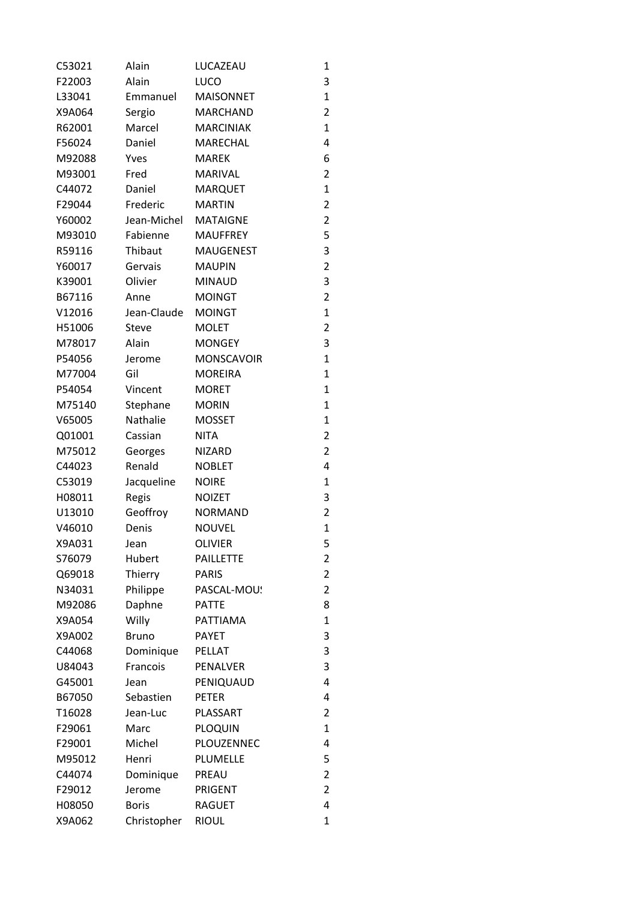| C53021 | Alain        | LUCAZEAU          | 1              |
|--------|--------------|-------------------|----------------|
| F22003 | Alain        | LUCO              | 3              |
| L33041 | Emmanuel     | <b>MAISONNET</b>  | 1              |
| X9A064 | Sergio       | <b>MARCHAND</b>   | 2              |
| R62001 | Marcel       | <b>MARCINIAK</b>  | $\mathbf{1}$   |
| F56024 | Daniel       | MARECHAL          | 4              |
| M92088 | Yves         | <b>MAREK</b>      | 6              |
| M93001 | Fred         | <b>MARIVAL</b>    | 2              |
| C44072 | Daniel       | <b>MARQUET</b>    | $\mathbf{1}$   |
| F29044 | Frederic     | <b>MARTIN</b>     | 2              |
| Y60002 | Jean-Michel  | <b>MATAIGNE</b>   | 2              |
| M93010 | Fabienne     | <b>MAUFFREY</b>   | 5              |
| R59116 | Thibaut      | <b>MAUGENEST</b>  | 3              |
| Y60017 | Gervais      | <b>MAUPIN</b>     | 2              |
| K39001 | Olivier      | <b>MINAUD</b>     | 3              |
| B67116 | Anne         | <b>MOINGT</b>     | 2              |
| V12016 | Jean-Claude  | <b>MOINGT</b>     | $\mathbf{1}$   |
| H51006 | <b>Steve</b> | <b>MOLET</b>      | 2              |
| M78017 | Alain        | <b>MONGEY</b>     | 3              |
| P54056 | Jerome       | <b>MONSCAVOIR</b> | 1              |
| M77004 | Gil          | <b>MOREIRA</b>    | 1              |
| P54054 | Vincent      | <b>MORET</b>      | 1              |
| M75140 | Stephane     | <b>MORIN</b>      | 1              |
| V65005 | Nathalie     | <b>MOSSET</b>     | $\mathbf{1}$   |
| Q01001 | Cassian      | <b>NITA</b>       | 2              |
| M75012 | Georges      | <b>NIZARD</b>     | 2              |
| C44023 | Renald       | <b>NOBLET</b>     | 4              |
| C53019 | Jacqueline   | <b>NOIRE</b>      | 1              |
| H08011 | Regis        | <b>NOIZET</b>     | 3              |
| U13010 | Geoffroy     | <b>NORMAND</b>    | $\overline{2}$ |
| V46010 | Denis        | <b>NOUVEL</b>     | $\mathbf{1}$   |
| X9A031 | Jean         | <b>OLIVIER</b>    | 5              |
| S76079 | Hubert       | <b>PAILLETTE</b>  | 2              |
| Q69018 | Thierry      | <b>PARIS</b>      | $\overline{2}$ |
| N34031 | Philippe     | PASCAL-MOU!       | $\overline{2}$ |
| M92086 | Daphne       | <b>PATTE</b>      | 8              |
| X9A054 | Willy        | PATTIAMA          | $\mathbf{1}$   |
| X9A002 | <b>Bruno</b> | <b>PAYET</b>      | 3              |
| C44068 | Dominique    | PELLAT            | 3              |
| U84043 | Francois     | PENALVER          | 3              |
| G45001 | Jean         | PENIQUAUD         | 4              |
| B67050 | Sebastien    | <b>PETER</b>      | 4              |
| T16028 | Jean-Luc     | PLASSART          | $\overline{2}$ |
| F29061 | Marc         | <b>PLOQUIN</b>    | 1              |
| F29001 | Michel       | PLOUZENNEC        | 4              |
| M95012 | Henri        | PLUMELLE          | 5              |
| C44074 | Dominique    | PREAU             | $\overline{2}$ |
| F29012 |              | PRIGENT           | 2              |
|        | Jerome       |                   | 4              |
| H08050 | <b>Boris</b> | <b>RAGUET</b>     |                |
| X9A062 | Christopher  | <b>RIOUL</b>      | 1              |